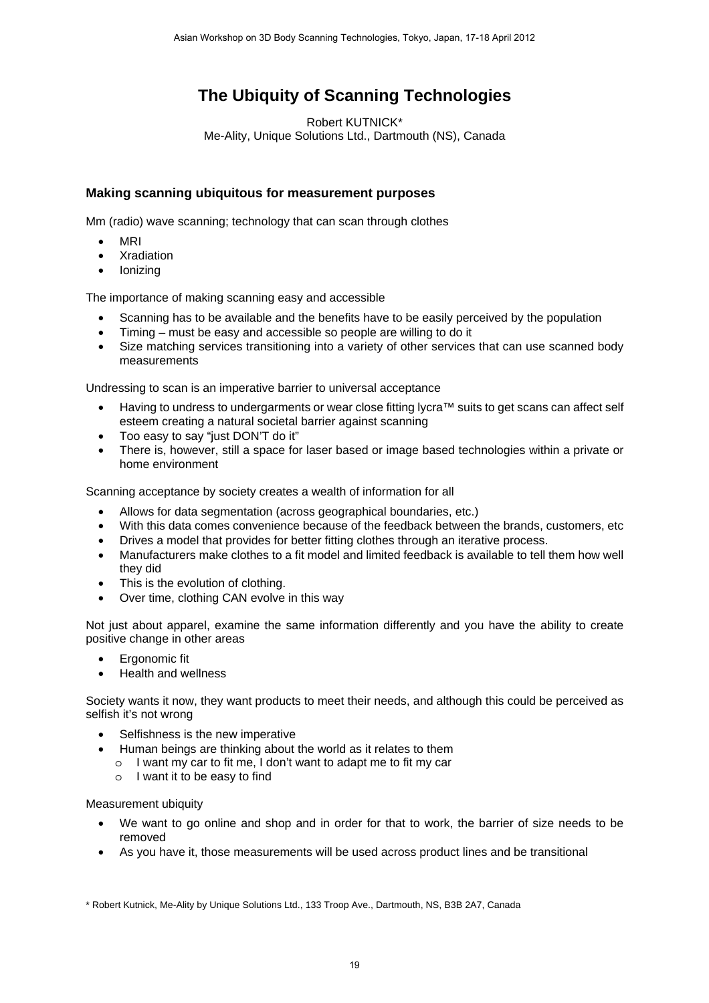## **The Ubiquity of Scanning Technologies**

Robert KUTNICK\* Me-Ality, Unique Solutions Ltd., Dartmouth (NS), Canada

## **Making scanning ubiquitous for measurement purposes**

Mm (radio) wave scanning; technology that can scan through clothes

- MRI
- **Xradiation**
- Ionizing

The importance of making scanning easy and accessible

- Scanning has to be available and the benefits have to be easily perceived by the population
- Timing must be easy and accessible so people are willing to do it
- Size matching services transitioning into a variety of other services that can use scanned body measurements

Undressing to scan is an imperative barrier to universal acceptance

- Having to undress to undergarments or wear close fitting lycra™ suits to get scans can affect self esteem creating a natural societal barrier against scanning
- Too easy to say "just DON'T do it"
- There is, however, still a space for laser based or image based technologies within a private or home environment

Scanning acceptance by society creates a wealth of information for all

- Allows for data segmentation (across geographical boundaries, etc.)
- With this data comes convenience because of the feedback between the brands, customers, etc
- Drives a model that provides for better fitting clothes through an iterative process.
- Manufacturers make clothes to a fit model and limited feedback is available to tell them how well they did
- This is the evolution of clothing.
- Over time, clothing CAN evolve in this way

Not just about apparel, examine the same information differently and you have the ability to create positive change in other areas

- Ergonomic fit
- Health and wellness

Society wants it now, they want products to meet their needs, and although this could be perceived as selfish it's not wrong

- Selfishness is the new imperative
- Human beings are thinking about the world as it relates to them
	- o I want my car to fit me, I don't want to adapt me to fit my car
	- o I want it to be easy to find

## Measurement ubiquity

- We want to go online and shop and in order for that to work, the barrier of size needs to be removed
- As you have it, those measurements will be used across product lines and be transitional

\* Robert Kutnick, Me-Ality by Unique Solutions Ltd., 133 Troop Ave., Dartmouth, NS, B3B 2A7, Canada